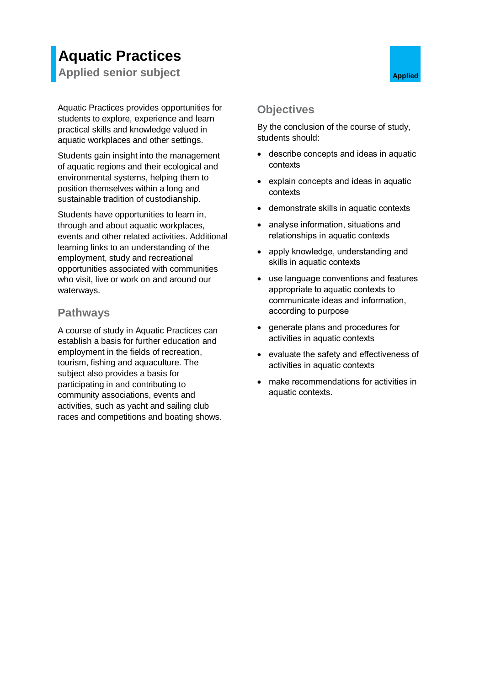# **Aquatic Practices**

**Applied senior subject Applied Applied Applied** 

Aquatic Practices provides opportunities for students to explore, experience and learn practical skills and knowledge valued in aquatic workplaces and other settings.

Students gain insight into the management of aquatic regions and their ecological and environmental systems, helping them to position themselves within a long and sustainable tradition of custodianship.

Students have opportunities to learn in, through and about aquatic workplaces, events and other related activities. Additional learning links to an understanding of the employment, study and recreational opportunities associated with communities who visit, live or work on and around our waterways.

### **Pathways**

A course of study in Aquatic Practices can establish a basis for further education and employment in the fields of recreation, tourism, fishing and aquaculture. The subject also provides a basis for participating in and contributing to community associations, events and activities, such as yacht and sailing club races and competitions and boating shows.

# **Objectives**

By the conclusion of the course of study, students should:

- describe concepts and ideas in aquatic contexts
- explain concepts and ideas in aquatic contexts
- demonstrate skills in aquatic contexts
- analyse information, situations and relationships in aquatic contexts
- apply knowledge, understanding and skills in aquatic contexts
- use language conventions and features appropriate to aquatic contexts to communicate ideas and information, according to purpose
- generate plans and procedures for activities in aquatic contexts
- evaluate the safety and effectiveness of activities in aquatic contexts
- make recommendations for activities in aquatic contexts.